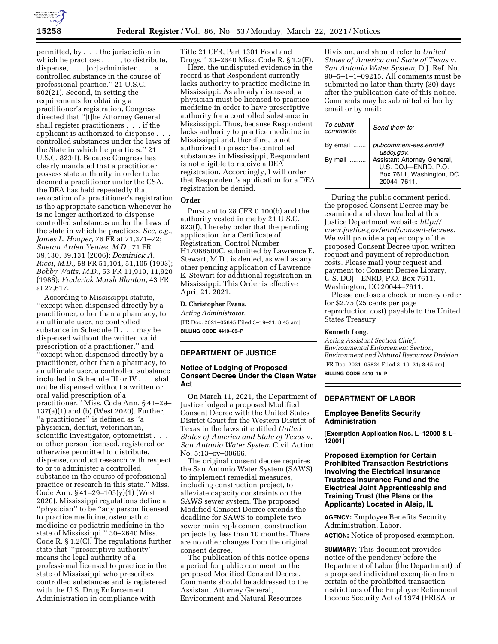

permitted, by . . . the jurisdiction in which he practices . . . , to distribute, dispense, . . . [or] administer . . . a controlled substance in the course of professional practice.'' 21 U.S.C. 802(21). Second, in setting the requirements for obtaining a practitioner's registration, Congress directed that ''[t]he Attorney General shall register practitioners . . . if the applicant is authorized to dispense . controlled substances under the laws of the State in which he practices.'' 21 U.S.C. 823(f). Because Congress has clearly mandated that a practitioner possess state authority in order to be deemed a practitioner under the CSA, the DEA has held repeatedly that revocation of a practitioner's registration is the appropriate sanction whenever he is no longer authorized to dispense controlled substances under the laws of the state in which he practices. *See, e.g., James L. Hooper,* 76 FR at 71,371–72; *Sheran Arden Yeates, M.D.,* 71 FR 39,130, 39,131 (2006); *Dominick A. Ricci, M.D.,* 58 FR 51,104, 51,105 (1993); *Bobby Watts, M.D.,* 53 FR 11,919, 11,920 (1988); *Frederick Marsh Blanton,* 43 FR at 27,617.

According to Mississippi statute, ''except when dispensed directly by a practitioner, other than a pharmacy, to an ultimate user, no controlled substance in Schedule II . . . may be dispensed without the written valid prescription of a practitioner,'' and ''except when dispensed directly by a practitioner, other than a pharmacy, to an ultimate user, a controlled substance included in Schedule III or IV . . . shall not be dispensed without a written or oral valid prescription of a practitioner.'' Miss. Code Ann. § 41–29– 137(a)(1) and (b) (West 2020). Further, ''a practitioner'' is defined as ''a physician, dentist, veterinarian, scientific investigator, optometrist . . . or other person licensed, registered or otherwise permitted to distribute, dispense, conduct research with respect to or to administer a controlled substance in the course of professional practice or research in this state.'' Miss. Code Ann. § 41–29–105(y)(1) (West 2020). Mississippi regulations define a ''physician'' to be ''any person licensed to practice medicine, osteopathic medicine or podiatric medicine in the state of Mississippi.'' 30–2640 Miss. Code R. § 1.2(C). The regulations further state that '''prescriptive authority' means the legal authority of a professional licensed to practice in the state of Mississippi who prescribes controlled substances and is registered with the U.S. Drug Enforcement Administration in compliance with

Title 21 CFR, Part 1301 Food and Drugs.'' 30–2640 Miss. Code R. § 1.2(F).

Here, the undisputed evidence in the record is that Respondent currently lacks authority to practice medicine in Mississippi. As already discussed, a physician must be licensed to practice medicine in order to have prescriptive authority for a controlled substance in Mississippi. Thus, because Respondent lacks authority to practice medicine in Mississippi and, therefore, is not authorized to prescribe controlled substances in Mississippi, Respondent is not eligible to receive a DEA registration. Accordingly, I will order that Respondent's application for a DEA registration be denied.

# **Order**

Pursuant to 28 CFR 0.100(b) and the authority vested in me by 21 U.S.C. 823(f), I hereby order that the pending application for a Certificate of Registration, Control Number H17068500C, submitted by Lawrence E. Stewart, M.D., is denied, as well as any other pending application of Lawrence E. Stewart for additional registration in Mississippi. This Order is effective April 21, 2021.

# **D. Christopher Evans,**

*Acting Administrator.*  [FR Doc. 2021–05845 Filed 3–19–21; 8:45 am]

**BILLING CODE 4410–09–P** 

# **DEPARTMENT OF JUSTICE**

# **Notice of Lodging of Proposed Consent Decree Under the Clean Water Act**

On March 11, 2021, the Department of Justice lodged a proposed Modified Consent Decree with the United States District Court for the Western District of Texas in the lawsuit entitled *United States of America and State of Texas* v. *San Antonio Water System* Civil Action No. 5:13–cv–00666.

The original consent decree requires the San Antonio Water System (SAWS) to implement remedial measures, including construction project, to alleviate capacity constraints on the SAWS sewer system. The proposed Modified Consent Decree extends the deadline for SAWS to complete two sewer main replacement construction projects by less than 10 months. There are no other changes from the original consent decree.

The publication of this notice opens a period for public comment on the proposed Modified Consent Decree. Comments should be addressed to the Assistant Attorney General, Environment and Natural Resources

Division, and should refer to *United States of America and State of Texas* v. *San Antonio Water System,* D.J. Ref. No. 90–5–1–1–09215. All comments must be submitted no later than thirty (30) days after the publication date of this notice. Comments may be submitted either by email or by mail:

| To submit<br>comments: | Send them to:                                                                                |
|------------------------|----------------------------------------------------------------------------------------------|
| By email               | pubcomment-ees.enrd@<br>usdoj.gov.                                                           |
| By mail                | Assistant Attorney General,<br>U.S. DOJ-ENRD, P.O.<br>Box 7611, Washington, DC<br>20044-7611 |

During the public comment period, the proposed Consent Decree may be examined and downloaded at this Justice Department website: *[http://](http://www.justice.gov/enrd/consent-decrees) [www.justice.gov/enrd/consent-decrees.](http://www.justice.gov/enrd/consent-decrees)*  We will provide a paper copy of the proposed Consent Decree upon written request and payment of reproduction costs. Please mail your request and payment to: Consent Decree Library, U.S. DOJ—ENRD, P.O. Box 7611, Washington, DC 20044–7611.

Please enclose a check or money order for \$2.75 (25 cents per page reproduction cost) payable to the United States Treasury.

#### **Kenneth Long,**

*Acting Assistant Section Chief, Environmental Enforcement Section, Environment and Natural Resources Division.*  [FR Doc. 2021–05824 Filed 3–19–21; 8:45 am]

**BILLING CODE 4410–15–P** 

## **DEPARTMENT OF LABOR**

#### **Employee Benefits Security Administration**

**[Exemption Application Nos. L–12000 & L– 12001]** 

**Proposed Exemption for Certain Prohibited Transaction Restrictions Involving the Electrical Insurance Trustees Insurance Fund and the Electrical Joint Apprenticeship and Training Trust (the Plans or the Applicants) Located in Alsip, IL** 

**AGENCY:** Employee Benefits Security Administration, Labor.

**ACTION:** Notice of proposed exemption.

**SUMMARY:** This document provides notice of the pendency before the Department of Labor (the Department) of a proposed individual exemption from certain of the prohibited transaction restrictions of the Employee Retirement Income Security Act of 1974 (ERISA or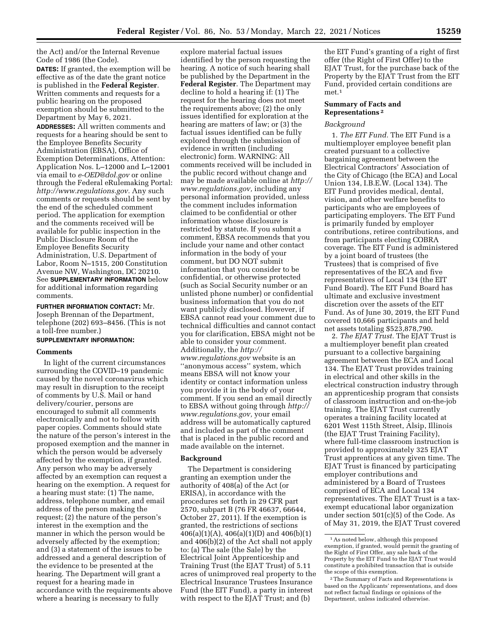the Act) and/or the Internal Revenue Code of 1986 (the Code).

**DATES:** If granted, the exemption will be effective as of the date the grant notice is published in the **Federal Register**. Written comments and requests for a public hearing on the proposed exemption should be submitted to the Department by May 6, 2021.

**ADDRESSES:** All written comments and requests for a hearing should be sent to the Employee Benefits Security Administration (EBSA), Office of Exemption Determinations, Attention: Application Nos. L–12000 and L–12001 via email to *[e-OED@dol.gov](mailto:e-OED@dol.gov)* or online through the Federal eRulemaking Portal: *[http://www.regulations.gov.](http://www.regulations.gov)* Any such comments or requests should be sent by the end of the scheduled comment period. The application for exemption and the comments received will be available for public inspection in the Public Disclosure Room of the Employee Benefits Security Administration, U.S. Department of Labor, Room N–1515, 200 Constitution Avenue NW, Washington, DC 20210. See **SUPPLEMENTARY INFORMATION** below for additional information regarding comments.

**FURTHER INFORMATION CONTACT:** Mr. Joseph Brennan of the Department, telephone (202) 693–8456. (This is not a toll-free number.)

# **SUPPLEMENTARY INFORMATION:**

## **Comments**

In light of the current circumstances surrounding the COVID–19 pandemic caused by the novel coronavirus which may result in disruption to the receipt of comments by U.S. Mail or hand delivery/courier, persons are encouraged to submit all comments electronically and not to follow with paper copies. Comments should state the nature of the person's interest in the proposed exemption and the manner in which the person would be adversely affected by the exemption, if granted. Any person who may be adversely affected by an exemption can request a hearing on the exemption. A request for a hearing must state: (1) The name, address, telephone number, and email address of the person making the request; (2) the nature of the person's interest in the exemption and the manner in which the person would be adversely affected by the exemption; and (3) a statement of the issues to be addressed and a general description of the evidence to be presented at the hearing. The Department will grant a request for a hearing made in accordance with the requirements above where a hearing is necessary to fully

explore material factual issues identified by the person requesting the hearing. A notice of such hearing shall be published by the Department in the **Federal Register**. The Department may decline to hold a hearing if: (1) The request for the hearing does not meet the requirements above; (2) the only issues identified for exploration at the hearing are matters of law; or (3) the factual issues identified can be fully explored through the submission of evidence in written (including electronic) form. WARNING: All comments received will be included in the public record without change and may be made available online at *[http://](http://www.regulations.gov)  [www.regulations.gov,](http://www.regulations.gov)* including any personal information provided, unless the comment includes information claimed to be confidential or other information whose disclosure is restricted by statute. If you submit a comment, EBSA recommends that you include your name and other contact information in the body of your comment, but DO NOT submit information that you consider to be confidential, or otherwise protected (such as Social Security number or an unlisted phone number) or confidential business information that you do not want publicly disclosed. However, if EBSA cannot read your comment due to technical difficulties and cannot contact you for clarification, EBSA might not be able to consider your comment. Additionally, the *[http://](http://www.regulations.gov) [www.regulations.gov](http://www.regulations.gov)* website is an ''anonymous access'' system, which means EBSA will not know your identity or contact information unless you provide it in the body of your comment. If you send an email directly to EBSA without going through *[http://](http://www.regulations.gov) [www.regulations.gov,](http://www.regulations.gov)* your email address will be automatically captured and included as part of the comment that is placed in the public record and made available on the internet.

#### **Background**

The Department is considering granting an exemption under the authority of 408(a) of the Act (or ERISA), in accordance with the procedures set forth in 29 CFR part 2570, subpart B (76 FR 46637, 66644, October 27, 2011). If the exemption is granted, the restrictions of sections 406(a)(1)(A), 406(a)(1)(D) and 406(b)(1) and 406(b)(2) of the Act shall not apply to: (a) The sale (the Sale) by the Electrical Joint Apprenticeship and Training Trust (the EJAT Trust) of 5.11 acres of unimproved real property to the Electrical Insurance Trustees Insurance Fund (the EIT Fund), a party in interest with respect to the EJAT Trust; and (b)

the EIT Fund's granting of a right of first offer (the Right of First Offer) to the EJAT Trust, for the purchase back of the Property by the EJAT Trust from the EIT Fund, provided certain conditions are  $m$ et $1$ 

## **Summary of Facts and Representations 2**

## *Background*

1. *The EIT Fund.* The EIT Fund is a multiemployer employee benefit plan created pursuant to a collective bargaining agreement between the Electrical Contractors' Association of the City of Chicago (the ECA) and Local Union 134, I.B.E.W. (Local 134). The EIT Fund provides medical, dental, vision, and other welfare benefits to participants who are employees of participating employers. The EIT Fund is primarily funded by employer contributions, retiree contributions, and from participants electing COBRA coverage. The EIT Fund is administered by a joint board of trustees (the Trustees) that is comprised of five representatives of the ECA and five representatives of Local 134 (the EIT Fund Board). The EIT Fund Board has ultimate and exclusive investment discretion over the assets of the EIT Fund. As of June 30, 2019, the EIT Fund covered 10,666 participants and held net assets totaling \$523,878,790.

2. *The EJAT Trust.* The EJAT Trust is a multiemployer benefit plan created pursuant to a collective bargaining agreement between the ECA and Local 134. The EJAT Trust provides training in electrical and other skills in the electrical construction industry through an apprenticeship program that consists of classroom instruction and on-the-job training. The EJAT Trust currently operates a training facility located at 6201 West 115th Street, Alsip, Illinois (the EJAT Trust Training Facility), where full-time classroom instruction is provided to approximately 325 EJAT Trust apprentices at any given time. The EJAT Trust is financed by participating employer contributions and administered by a Board of Trustees comprised of ECA and Local 134 representatives. The EJAT Trust is a taxexempt educational labor organization under section 501(c)(5) of the Code. As of May 31, 2019, the EJAT Trust covered

<sup>1</sup>As noted below, although this proposed exemption, if granted, would permit the granting of the Right of First Offer, any sale back of the Property by the EIT Fund to the EJAT Trust would constitute a prohibited transaction that is outside the scope of this exemption.

<sup>2</sup>The Summary of Facts and Representations is based on the Applicants' representations, and does not reflect factual findings or opinions of the Department, unless indicated otherwise.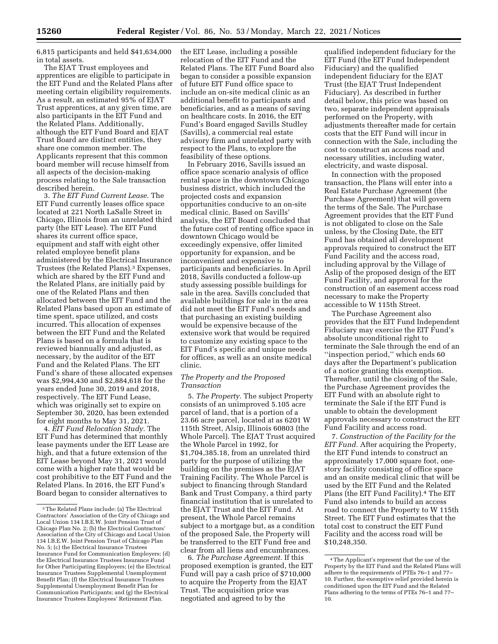6,815 participants and held \$41,634,000 in total assets.

The EJAT Trust employees and apprentices are eligible to participate in the EIT Fund and the Related Plans after meeting certain eligibility requirements. As a result, an estimated 95% of EJAT Trust apprentices, at any given time, are also participants in the EIT Fund and the Related Plans. Additionally, although the EIT Fund Board and EJAT Trust Board are distinct entities, they share one common member. The Applicants represent that this common board member will recuse himself from all aspects of the decision-making process relating to the Sale transaction described herein.

3. *The EIT Fund Current Lease.* The EIT Fund currently leases office space located at 221 North LaSalle Street in Chicago, Illinois from an unrelated third party (the EIT Lease). The EIT Fund shares its current office space, equipment and staff with eight other related employee benefit plans administered by the Electrical Insurance Trustees (the Related Plans).3 Expenses, which are shared by the EIT Fund and the Related Plans, are initially paid by one of the Related Plans and then allocated between the EIT Fund and the Related Plans based upon an estimate of time spent, space utilized, and costs incurred. This allocation of expenses between the EIT Fund and the Related Plans is based on a formula that is reviewed biannually and adjusted, as necessary, by the auditor of the EIT Fund and the Related Plans. The EIT Fund's share of these allocated expenses was \$2,994,430 and \$2,884,618 for the years ended June 30, 2019 and 2018, respectively. The EIT Fund Lease, which was originally set to expire on September 30, 2020, has been extended for eight months to May 31, 2021.

4. *EIT Fund Relocation Study.* The EIT Fund has determined that monthly lease payments under the EIT Lease are high, and that a future extension of the EIT Lease beyond May 31, 2021 would come with a higher rate that would be cost prohibitive to the EIT Fund and the Related Plans. In 2016, the EIT Fund's Board began to consider alternatives to

the EIT Lease, including a possible relocation of the EIT Fund and the Related Plans. The EIT Fund Board also began to consider a possible expansion of future EIT Fund office space to include an on-site medical clinic as an additional benefit to participants and beneficiaries, and as a means of saving on healthcare costs. In 2016, the EIT Fund's Board engaged Savills Studley (Savills), a commercial real estate advisory firm and unrelated party with respect to the Plans, to explore the feasibility of these options.

In February 2016, Savills issued an office space scenario analysis of office rental space in the downtown Chicago business district, which included the projected costs and expansion opportunities conducive to an on-site medical clinic. Based on Savills' analysis, the EIT Board concluded that the future cost of renting office space in downtown Chicago would be exceedingly expensive, offer limited opportunity for expansion, and be inconvenient and expensive to participants and beneficiaries. In April 2018, Savills conducted a follow-up study assessing possible buildings for sale in the area. Savills concluded that available buildings for sale in the area did not meet the EIT Fund's needs and that purchasing an existing building would be expensive because of the extensive work that would be required to customize any existing space to the EIT Fund's specific and unique needs for offices, as well as an onsite medical clinic.

## *The Property and the Proposed Transaction*

5. *The Property.* The subject Property consists of an unimproved 5.105 acre parcel of land, that is a portion of a 23.66 acre parcel, located at as 6201 W 115th Street, Alsip, Illinois 60803 (the Whole Parcel). The EJAT Trust acquired the Whole Parcel in 1992, for \$1,704,385.18, from an unrelated third party for the purpose of utilizing the building on the premises as the EJAT Training Facility. The Whole Parcel is subject to financing through Standard Bank and Trust Company, a third party financial institution that is unrelated to the EJAT Trust and the EIT Fund. At present, the Whole Parcel remains subject to a mortgage but, as a condition of the proposed Sale, the Property will be transferred to the EIT Fund free and clear from all liens and encumbrances.

6. *The Purchase Agreement.* If this proposed exemption is granted, the EIT Fund will pay a cash price of \$710,000 to acquire the Property from the EJAT Trust. The acquisition price was negotiated and agreed to by the

qualified independent fiduciary for the EIT Fund (the EIT Fund Independent Fiduciary) and the qualified independent fiduciary for the EJAT Trust (the EJAT Trust Independent Fiduciary). As described in further detail below, this price was based on two, separate independent appraisals performed on the Property, with adjustments thereafter made for certain costs that the EIT Fund will incur in connection with the Sale, including the cost to construct an access road and necessary utilities, including water, electricity, and waste disposal.

In connection with the proposed transaction, the Plans will enter into a Real Estate Purchase Agreement (the Purchase Agreement) that will govern the terms of the Sale. The Purchase Agreement provides that the EIT Fund is not obligated to close on the Sale unless, by the Closing Date, the EIT Fund has obtained all development approvals required to construct the EIT Fund Facility and the access road, including approval by the Village of Aslip of the proposed design of the EIT Fund Facility, and approval for the construction of an easement access road necessary to make the Property accessible to W 115th Street.

The Purchase Agreement also provides that the EIT Fund Independent Fiduciary may exercise the EIT Fund's absolute unconditional right to terminate the Sale through the end of an ''inspection period,'' which ends 60 days after the Department's publication of a notice granting this exemption. Thereafter, until the closing of the Sale, the Purchase Agreement provides the EIT Fund with an absolute right to terminate the Sale if the EIT Fund is unable to obtain the development approvals necessary to construct the EIT Fund Facility and access road.

7. *Construction of the Facility for the EIT Fund.* After acquiring the Property, the EIT Fund intends to construct an approximately 17,000 square foot, onestory facility consisting of office space and an onsite medical clinic that will be used by the EIT Fund and the Related Plans (the EIT Fund Facility).4 The EIT Fund also intends to build an access road to connect the Property to W 115th Street. The EIT Fund estimates that the total cost to construct the EIT Fund Facility and the access road will be \$10,248,350.

<sup>3</sup>The Related Plans include: (a) The Electrical Contractors' Association of the City of Chicago and Local Union 134 I.B.E.W. Joint Pension Trust of Chicago Plan No. 2; (b) the Electrical Contractors' Association of the City of Chicago and Local Union 134 I.B.E.W. Joint Pension Trust of Chicago Plan No. 5; (c) the Electrical Insurance Trustees Insurance Fund for Communication Employers; (d) the Electrical Insurance Trustees Insurance Fund for Other Participating Employers; (e) the Electrical Insurance Trustees Supplemental Unemployment Benefit Plan; (f) the Electrical Insurance Trustees Supplemental Unemployment Benefit Plan for Communication Participants; and (g) the Electrical Insurance Trustees Employees' Retirement Plan.

<sup>4</sup>The Applicant's represent that the use of the Property by the EIT Fund and the Related Plans will adhere to the requirements of PTEs 76–1 and 77– 10. Further, the exemptive relief provided herein is conditioned upon the EIT Fund and the Related Plans adhering to the terms of PTEs 76–1 and 77– 10.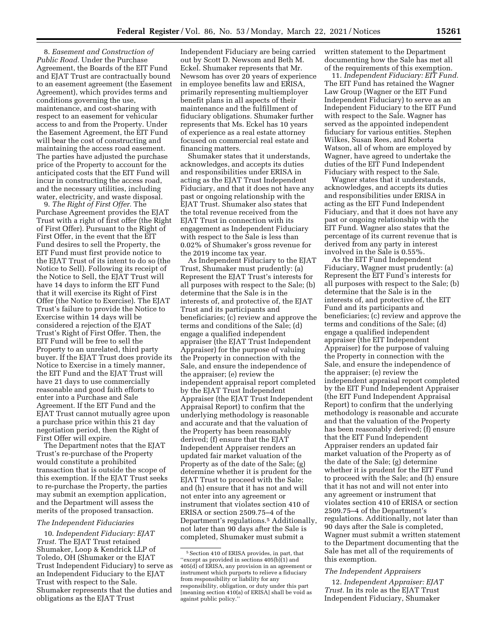8. *Easement and Construction of Public Road.* Under the Purchase Agreement, the Boards of the EIT Fund and EJAT Trust are contractually bound to an easement agreement (the Easement Agreement), which provides terms and conditions governing the use, maintenance, and cost-sharing with respect to an easement for vehicular access to and from the Property. Under the Easement Agreement, the EIT Fund will bear the cost of constructing and maintaining the access road easement. The parties have adjusted the purchase price of the Property to account for the anticipated costs that the EIT Fund will incur in constructing the access road, and the necessary utilities, including water, electricity, and waste disposal.

9. *The Right of First Offer.* The Purchase Agreement provides the EJAT Trust with a right of first offer (the Right of First Offer). Pursuant to the Right of First Offer, in the event that the EIT Fund desires to sell the Property, the EIT Fund must first provide notice to the EJAT Trust of its intent to do so (the Notice to Sell). Following its receipt of the Notice to Sell, the EJAT Trust will have 14 days to inform the EIT Fund that it will exercise its Right of First Offer (the Notice to Exercise). The EJAT Trust's failure to provide the Notice to Exercise within 14 days will be considered a rejection of the EJAT Trust's Right of First Offer. Then, the EIT Fund will be free to sell the Property to an unrelated, third party buyer. If the EJAT Trust does provide its Notice to Exercise in a timely manner, the EIT Fund and the EJAT Trust will have 21 days to use commercially reasonable and good faith efforts to enter into a Purchase and Sale Agreement. If the EIT Fund and the EJAT Trust cannot mutually agree upon a purchase price within this 21 day negotiation period, then the Right of First Offer will expire.

The Department notes that the EJAT Trust's re-purchase of the Property would constitute a prohibited transaction that is outside the scope of this exemption. If the EJAT Trust seeks to re-purchase the Property, the parties may submit an exemption application, and the Department will assess the merits of the proposed transaction.

#### *The Independent Fiduciaries*

10. *Independent Fiduciary: EJAT Trust.* The EJAT Trust retained Shumaker, Loop & Kendrick LLP of Toledo, OH (Shumaker or the EJAT Trust Independent Fiduciary) to serve as an Independent Fiduciary to the EJAT Trust with respect to the Sale. Shumaker represents that the duties and obligations as the EJAT Trust

Independent Fiduciary are being carried out by Scott D. Newsom and Beth M. Eckel. Shumaker represents that Mr. Newsom has over 20 years of experience in employee benefits law and ERISA, primarily representing multiemployer benefit plans in all aspects of their maintenance and the fulfillment of fiduciary obligations. Shumaker further represents that Ms. Eckel has 10 years of experience as a real estate attorney focused on commercial real estate and financing matters.

Shumaker states that it understands, acknowledges, and accepts its duties and responsibilities under ERISA in acting as the EJAT Trust Independent Fiduciary, and that it does not have any past or ongoing relationship with the EJAT Trust. Shumaker also states that the total revenue received from the EJAT Trust in connection with its engagement as Independent Fiduciary with respect to the Sale is less than 0.02% of Shumaker's gross revenue for the 2019 income tax year.

As Independent Fiduciary to the EJAT Trust, Shumaker must prudently: (a) Represent the EJAT Trust's interests for all purposes with respect to the Sale; (b) determine that the Sale is in the interests of, and protective of, the EJAT Trust and its participants and beneficiaries; (c) review and approve the terms and conditions of the Sale; (d) engage a qualified independent appraiser (the EJAT Trust Independent Appraiser) for the purpose of valuing the Property in connection with the Sale, and ensure the independence of the appraiser; (e) review the independent appraisal report completed by the EJAT Trust Independent Appraiser (the EJAT Trust Independent Appraisal Report) to confirm that the underlying methodology is reasonable and accurate and that the valuation of the Property has been reasonably derived; (f) ensure that the EJAT Independent Appraiser renders an updated fair market valuation of the Property as of the date of the Sale; (g) determine whether it is prudent for the EJAT Trust to proceed with the Sale; and (h) ensure that it has not and will not enter into any agreement or instrument that violates section 410 of ERISA or section 2509.75–4 of the Department's regulations.5 Additionally, not later than 90 days after the Sale is completed, Shumaker must submit a

written statement to the Department documenting how the Sale has met all of the requirements of this exemption.

11. *Independent Fiduciary: EIT Fund.*  The EIT Fund has retained the Wagner Law Group (Wagner or the EIT Fund Independent Fiduciary) to serve as an Independent Fiduciary to the EIT Fund with respect to the Sale. Wagner has served as the appointed independent fiduciary for various entities. Stephen Wilkes, Susan Rees, and Roberta Watson, all of whom are employed by Wagner, have agreed to undertake the duties of the EIT Fund Independent Fiduciary with respect to the Sale.

Wagner states that it understands, acknowledges, and accepts its duties and responsibilities under ERISA in acting as the EIT Fund Independent Fiduciary, and that it does not have any past or ongoing relationship with the EIT Fund. Wagner also states that the percentage of its current revenue that is derived from any party in interest involved in the Sale is 0.55%.

As the EIT Fund Independent Fiduciary, Wagner must prudently: (a) Represent the EIT Fund's interests for all purposes with respect to the Sale; (b) determine that the Sale is in the interests of, and protective of, the EIT Fund and its participants and beneficiaries; (c) review and approve the terms and conditions of the Sale; (d) engage a qualified independent appraiser (the EIT Independent Appraiser) for the purpose of valuing the Property in connection with the Sale, and ensure the independence of the appraiser; (e) review the independent appraisal report completed by the EIT Fund Independent Appraiser (the EIT Fund Independent Appraisal Report) to confirm that the underlying methodology is reasonable and accurate and that the valuation of the Property has been reasonably derived; (f) ensure that the EIT Fund Independent Appraiser renders an updated fair market valuation of the Property as of the date of the Sale; (g) determine whether it is prudent for the EIT Fund to proceed with the Sale; and (h) ensure that it has not and will not enter into any agreement or instrument that violates section 410 of ERISA or section 2509.75–4 of the Department's regulations. Additionally, not later than 90 days after the Sale is completed, Wagner must submit a written statement to the Department documenting that the Sale has met all of the requirements of this exemption.

## *The Independent Appraisers*

12. *Independent Appraiser: EJAT Trust.* In its role as the EJAT Trust Independent Fiduciary, Shumaker

<sup>5</sup>Section 410 of ERISA provides, in part, that ''except as provided in sections 405(b)(1) and 405(d) of ERISA, any provision in an agreement or instrument which purports to relieve a fiduciary from responsibility or liability for any responsibility, obligation, or duty under this part [meaning section 410(a) of ERISA] shall be void as against public policy.''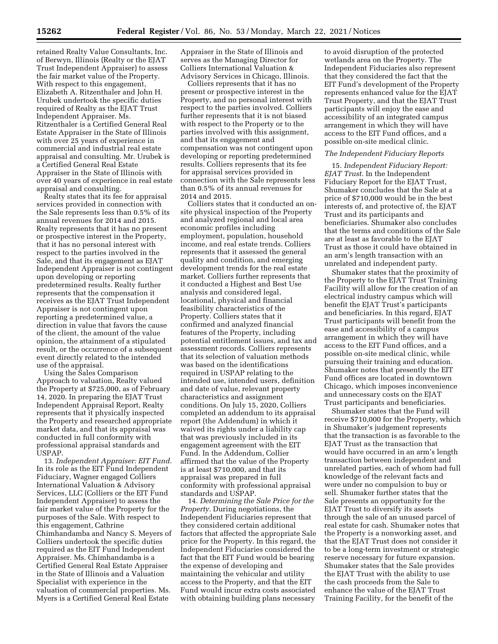retained Realty Value Consultants, Inc. of Berwyn, Illinois (Realty or the EJAT Trust Independent Appraiser) to assess the fair market value of the Property. With respect to this engagement, Elizabeth A. Ritzenthaler and John H. Urubek undertook the specific duties required of Realty as the EJAT Trust Independent Appraiser. Ms. Ritzenthaler is a Certified General Real Estate Appraiser in the State of Illinois with over 25 years of experience in commercial and industrial real estate appraisal and consulting. Mr. Urubek is a Certified General Real Estate Appraiser in the State of Illinois with over 40 years of experience in real estate appraisal and consulting.

Realty states that its fee for appraisal services provided in connection with the Sale represents less than 0.5% of its annual revenues for 2014 and 2015. Realty represents that it has no present or prospective interest in the Property, that it has no personal interest with respect to the parties involved in the Sale, and that its engagement as EJAT Independent Appraiser is not contingent upon developing or reporting predetermined results. Realty further represents that the compensation it receives as the EJAT Trust Independent Appraiser is not contingent upon reporting a predetermined value, a direction in value that favors the cause of the client, the amount of the value opinion, the attainment of a stipulated result, or the occurrence of a subsequent event directly related to the intended use of the appraisal.

Using the Sales Comparison Approach to valuation, Realty valued the Property at \$725,000, as of February 14, 2020. In preparing the EJAT Trust Independent Appraisal Report, Realty represents that it physically inspected the Property and researched appropriate market data, and that its appraisal was conducted in full conformity with professional appraisal standards and USPAP.

13. *Independent Appraiser: EIT Fund.*  In its role as the EIT Fund Independent Fiduciary, Wagner engaged Colliers International Valuation & Advisory Services, LLC (Colliers or the EIT Fund Independent Appraiser) to assess the fair market value of the Property for the purposes of the Sale. With respect to this engagement, Cathrine Chimhandamba and Nancy S. Meyers of Colliers undertook the specific duties required as the EIT Fund Independent Appraiser. Ms. Chimhandamba is a Certified General Real Estate Appraiser in the State of Illinois and a Valuation Specialist with experience in the valuation of commercial properties. Ms. Myers is a Certified General Real Estate

Appraiser in the State of Illinois and serves as the Managing Director for Colliers International Valuation & Advisory Services in Chicago, Illinois.

Colliers represents that it has no present or prospective interest in the Property, and no personal interest with respect to the parties involved. Colliers further represents that it is not biased with respect to the Property or to the parties involved with this assignment, and that its engagement and compensation was not contingent upon developing or reporting predetermined results. Colliers represents that its fee for appraisal services provided in connection with the Sale represents less than 0.5% of its annual revenues for 2014 and 2015.

Colliers states that it conducted an onsite physical inspection of the Property and analyzed regional and local area economic profiles including employment, population, household income, and real estate trends. Colliers represents that it assessed the general quality and condition, and emerging development trends for the real estate market. Colliers further represents that it conducted a Highest and Best Use analysis and considered legal, locational, physical and financial feasibility characteristics of the Property. Colliers states that it confirmed and analyzed financial features of the Property, including potential entitlement issues, and tax and assessment records. Colliers represents that its selection of valuation methods was based on the identifications required in USPAP relating to the intended use, intended users, definition and date of value, relevant property characteristics and assignment conditions. On July 15, 2020, Colliers completed an addendum to its appraisal report (the Addendum) in which it waived its rights under a liability cap that was previously included in its engagement agreement with the EIT Fund. In the Addendum, Collier affirmed that the value of the Property is at least \$710,000, and that its appraisal was prepared in full conformity with professional appraisal standards and USPAP.

14. *Determining the Sale Price for the Property.* During negotiations, the Independent Fiduciaries represent that they considered certain additional factors that affected the appropriate Sale price for the Property. In this regard, the Independent Fiduciaries considered the fact that the EIT Fund would be bearing the expense of developing and maintaining the vehicular and utility access to the Property, and that the EIT Fund would incur extra costs associated with obtaining building plans necessary

to avoid disruption of the protected wetlands area on the Property. The Independent Fiduciaries also represent that they considered the fact that the EIT Fund's development of the Property represents enhanced value for the EJAT Trust Property, and that the EJAT Trust participants will enjoy the ease and accessibility of an integrated campus arrangement in which they will have access to the EIT Fund offices, and a possible on-site medical clinic.

#### *The Independent Fiduciary Reports*

15. *Independent Fiduciary Report: EJAT Trust.* In the Independent Fiduciary Report for the EJAT Trust, Shumaker concludes that the Sale at a price of \$710,000 would be in the best interests of, and protective of, the EJAT Trust and its participants and beneficiaries. Shumaker also concludes that the terms and conditions of the Sale are at least as favorable to the EJAT Trust as those it could have obtained in an arm's length transaction with an unrelated and independent party.

Shumaker states that the proximity of the Property to the EJAT Trust Training Facility will allow for the creation of an electrical industry campus which will benefit the EJAT Trust's participants and beneficiaries. In this regard, EJAT Trust participants will benefit from the ease and accessibility of a campus arrangement in which they will have access to the EIT Fund offices, and a possible on-site medical clinic, while pursuing their training and education. Shumaker notes that presently the EIT Fund offices are located in downtown Chicago, which imposes inconvenience and unnecessary costs on the EJAT Trust participants and beneficiaries.

Shumaker states that the Fund will receive \$710,000 for the Property, which in Shumaker's judgement represents that the transaction is as favorable to the EJAT Trust as the transaction that would have occurred in an arm's length transaction between independent and unrelated parties, each of whom had full knowledge of the relevant facts and were under no compulsion to buy or sell. Shumaker further states that the Sale presents an opportunity for the EJAT Trust to diversify its assets through the sale of an unused parcel of real estate for cash. Shumaker notes that the Property is a nonworking asset, and that the EJAT Trust does not consider it to be a long-term investment or strategic reserve necessary for future expansion. Shumaker states that the Sale provides the EJAT Trust with the ability to use the cash proceeds from the Sale to enhance the value of the EJAT Trust Training Facility, for the benefit of the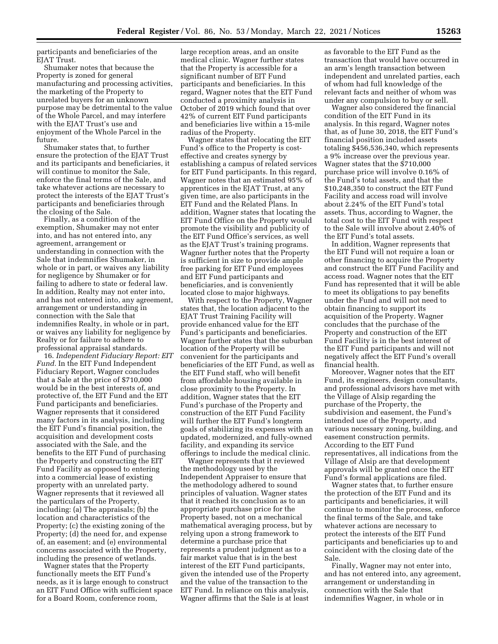participants and beneficiaries of the EJAT Trust.

Shumaker notes that because the Property is zoned for general manufacturing and processing activities, the marketing of the Property to unrelated buyers for an unknown purpose may be detrimental to the value of the Whole Parcel, and may interfere with the EJAT Trust's use and enjoyment of the Whole Parcel in the future.

Shumaker states that, to further ensure the protection of the EJAT Trust and its participants and beneficiaries, it will continue to monitor the Sale, enforce the final terms of the Sale, and take whatever actions are necessary to protect the interests of the EJAT Trust's participants and beneficiaries through the closing of the Sale.

Finally, as a condition of the exemption, Shumaker may not enter into, and has not entered into, any agreement, arrangement or understanding in connection with the Sale that indemnifies Shumaker, in whole or in part, or waives any liability for negligence by Shumaker or for failing to adhere to state or federal law. In addition, Realty may not enter into, and has not entered into, any agreement, arrangement or understanding in connection with the Sale that indemnifies Realty, in whole or in part, or waives any liability for negligence by Realty or for failure to adhere to professional appraisal standards.

16. *Independent Fiduciary Report: EIT Fund.* In the EIT Fund Independent Fiduciary Report, Wagner concludes that a Sale at the price of \$710,000 would be in the best interests of, and protective of, the EIT Fund and the EIT Fund participants and beneficiaries. Wagner represents that it considered many factors in its analysis, including the EIT Fund's financial position, the acquisition and development costs associated with the Sale, and the benefits to the EIT Fund of purchasing the Property and constructing the EIT Fund Facility as opposed to entering into a commercial lease of existing property with an unrelated party. Wagner represents that it reviewed all the particulars of the Property, including: (a) The appraisals; (b) the location and characteristics of the Property; (c) the existing zoning of the Property; (d) the need for, and expense of, an easement; and (e) environmental concerns associated with the Property, including the presence of wetlands.

Wagner states that the Property functionally meets the EIT Fund's needs, as it is large enough to construct an EIT Fund Office with sufficient space for a Board Room, conference room,

large reception areas, and an onsite medical clinic. Wagner further states that the Property is accessible for a significant number of EIT Fund participants and beneficiaries. In this regard, Wagner notes that the EIT Fund conducted a proximity analysis in October of 2019 which found that over 42% of current EIT Fund participants and beneficiaries live within a 15-mile radius of the Property.

Wagner states that relocating the EIT Fund's office to the Property is costeffective and creates synergy by establishing a campus of related services for EIT Fund participants. In this regard, Wagner notes that an estimated 95% of apprentices in the EJAT Trust, at any given time, are also participants in the EIT Fund and the Related Plans. In addition, Wagner states that locating the EIT Fund Office on the Property would promote the visibility and publicity of the EIT Fund Office's services, as well as the EJAT Trust's training programs. Wagner further notes that the Property is sufficient in size to provide ample free parking for EIT Fund employees and EIT Fund participants and beneficiaries, and is conveniently located close to major highways.

With respect to the Property, Wagner states that, the location adjacent to the EJAT Trust Training Facility will provide enhanced value for the EIT Fund's participants and beneficiaries. Wagner further states that the suburban location of the Property will be convenient for the participants and beneficiaries of the EIT Fund, as well as the EIT Fund staff, who will benefit from affordable housing available in close proximity to the Property. In addition, Wagner states that the EIT Fund's purchase of the Property and construction of the EIT Fund Facility will further the EIT Fund's longterm goals of stabilizing its expenses with an updated, modernized, and fully-owned facility, and expanding its service offerings to include the medical clinic.

Wagner represents that it reviewed the methodology used by the Independent Appraiser to ensure that the methodology adhered to sound principles of valuation. Wagner states that it reached its conclusion as to an appropriate purchase price for the Property based, not on a mechanical mathematical averaging process, but by relying upon a strong framework to determine a purchase price that represents a prudent judgment as to a fair market value that is in the best interest of the EIT Fund participants, given the intended use of the Property and the value of the transaction to the EIT Fund. In reliance on this analysis, Wagner affirms that the Sale is at least

as favorable to the EIT Fund as the transaction that would have occurred in an arm's length transaction between independent and unrelated parties, each of whom had full knowledge of the relevant facts and neither of whom was under any compulsion to buy or sell.

Wagner also considered the financial condition of the EIT Fund in its analysis. In this regard, Wagner notes that, as of June 30, 2018, the EIT Fund's financial position included assets totaling \$456,536,340, which represents a 9% increase over the previous year. Wagner states that the \$710,000 purchase price will involve 0.16% of the Fund's total assets, and that the \$10,248,350 to construct the EIT Fund Facility and access road will involve about 2.24% of the EIT Fund's total assets. Thus, according to Wagner, the total cost to the EIT Fund with respect to the Sale will involve about 2.40% of the EIT Fund's total assets.

In addition, Wagner represents that the EIT Fund will not require a loan or other financing to acquire the Property and construct the EIT Fund Facility and access road. Wagner notes that the EIT Fund has represented that it will be able to meet its obligations to pay benefits under the Fund and will not need to obtain financing to support its acquisition of the Property. Wagner concludes that the purchase of the Property and construction of the EIT Fund Facility is in the best interest of the EIT Fund participants and will not negatively affect the EIT Fund's overall financial health.

Moreover, Wagner notes that the EIT Fund, its engineers, design consultants, and professional advisors have met with the Village of Alsip regarding the purchase of the Property, the subdivision and easement, the Fund's intended use of the Property, and various necessary zoning, building, and easement construction permits. According to the EIT Fund representatives, all indications from the Village of Alsip are that development approvals will be granted once the EIT Fund's formal applications are filed.

Wagner states that, to further ensure the protection of the EIT Fund and its participants and beneficiaries, it will continue to monitor the process, enforce the final terms of the Sale, and take whatever actions are necessary to protect the interests of the EIT Fund participants and beneficiaries up to and coincident with the closing date of the Sale.

Finally, Wagner may not enter into, and has not entered into, any agreement, arrangement or understanding in connection with the Sale that indemnifies Wagner, in whole or in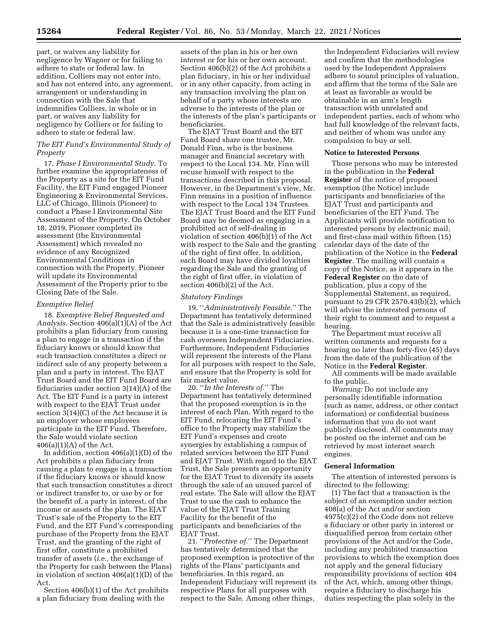part, or waives any liability for negligence by Wagner or for failing to adhere to state or federal law. In addition, Colliers may not enter into, and has not entered into, any agreement, arrangement or understanding in connection with the Sale that indemnifies Colliers, in whole or in part, or waives any liability for negligence by Colliers or for failing to adhere to state or federal law.

## *The EIT Fund's Environmental Study of Property*

17. *Phase I Environmental Study.* To further examine the appropriateness of the Property as a site for the EIT Fund Facility, the EIT Fund engaged Pioneer Engineering & Environmental Services, LLC of Chicago, Illinois (Pioneer) to conduct a Phase I Environmental Site Assessment of the Property. On October 18, 2019, Pioneer completed its assessment (the Environmental Assessment) which revealed no evidence of any Recognized Environmental Conditions in connection with the Property. Pioneer will update its Environmental Assessment of the Property prior to the Closing Date of the Sale.

## *Exemptive Relief*

18. *Exemptive Relief Requested and Analysis.* Section 406(a)(1)(A) of the Act prohibits a plan fiduciary from causing a plan to engage in a transaction if the fiduciary knows or should know that such transaction constitutes a direct or indirect sale of any property between a plan and a party in interest. The EJAT Trust Board and the EIT Fund Board are fiduciaries under section 3(14)(A) of the Act. The EIT Fund is a party in interest with respect to the EJAT Trust under section 3(14)(C) of the Act because it is an employer whose employees participate in the EIT Fund. Therefore, the Sale would violate section  $406(a)(1)(A)$  of the Act.

In addition, section 406(a)(1)(D) of the Act prohibits a plan fiduciary from causing a plan to engage in a transaction if the fiduciary knows or should know that such transaction constitutes a direct or indirect transfer to, or use by or for the benefit of, a party in interest, of the income or assets of the plan. The EJAT Trust's sale of the Property to the EIT Fund, and the EIT Fund's corresponding purchase of the Property from the EJAT Trust, and the granting of the right of first offer, constitute a prohibited transfer of assets (*i.e.,* the exchange of the Property for cash between the Plans) in violation of section 406(a)(1)(D) of the Act.

Section 406(b)(1) of the Act prohibits a plan fiduciary from dealing with the

assets of the plan in his or her own interest or for his or her own account. Section 406(b)(2) of the Act prohibits a plan fiduciary, in his or her individual or in any other capacity, from acting in any transaction involving the plan on behalf of a party whose interests are adverse to the interests of the plan or the interests of the plan's participants or beneficiaries.

The EJAT Trust Board and the EIT Fund Board share one trustee, Mr. Donald Finn, who is the business manager and financial secretary with respect to the Local 134. Mr. Finn will recuse himself with respect to the transactions described in this proposal. However, in the Department's view, Mr. Finn remains in a position of influence with respect to the Local 134 Trustees. The EJAT Trust Board and the EIT Fund Board may be deemed as engaging in a prohibited act of self-dealing in violation of section 406(b)(1) of the Act with respect to the Sale and the granting of the right of first offer. In addition, each Board may have divided loyalties regarding the Sale and the granting of the right of first offer, in violation of section 406(b)(2) of the Act.

#### *Statutory Findings*

19. ''*Administratively Feasible.*'' The Department has tentatively determined that the Sale is administratively feasible because it is a one-time transaction for cash overseen Independent Fiduciaries. Furthermore, Independent Fiduciaries will represent the interests of the Plans for all purposes with respect to the Sale, and ensure that the Property is sold for fair market value.

20. ''*In the Interests of.*'' The Department has tentatively determined that the proposed exemption is in the interest of each Plan. With regard to the EIT Fund, relocating the EIT Fund's office to the Property may stabilize the EIT Fund's expenses and create synergies by establishing a campus of related services between the EIT Fund and EJAT Trust. With regard to the EJAT Trust, the Sale presents an opportunity for the EJAT Trust to diversity its assets through the sale of an unused parcel of real estate. The Sale will allow the EJAT Trust to use the cash to enhance the value of the EJAT Trust Training Facility for the benefit of the participants and beneficiaries of the EJAT Trust.

21. ''*Protective of.*'' The Department has tentatively determined that the proposed exemption is protective of the rights of the Plans' participants and beneficiaries. In this regard, an Independent Fiduciary will represent its respective Plans for all purposes with respect to the Sale. Among other things,

the Independent Fiduciaries will review and confirm that the methodologies used by the Independent Appraisers adhere to sound principles of valuation, and affirm that the terms of the Sale are at least as favorable as would be obtainable in an arm's length transaction with unrelated and independent parties, each of whom who had full knowledge of the relevant facts, and neither of whom was under any compulsion to buy or sell.

#### **Notice to Interested Persons**

Those persons who may be interested in the publication in the **Federal Register** of the notice of proposed exemption (the Notice) include participants and beneficiaries of the EJAT Trust and participants and beneficiaries of the EIT Fund. The Applicants will provide notification to interested persons by electronic mail, and first-class mail within fifteen (15) calendar days of the date of the publication of the Notice in the **Federal Register**. The mailing will contain a copy of the Notice, as it appears in the **Federal Register** on the date of publication, plus a copy of the Supplemental Statement, as required, pursuant to 29 CFR 2570.43(b)(2), which will advise the interested persons of their right to comment and to request a hearing.

The Department must receive all written comments and requests for a hearing no later than forty-five (45) days from the date of the publication of the Notice in the **Federal Register**.

All comments will be made available to the public.

*Warning:* Do not include any personally identifiable information (such as name, address, or other contact information) or confidential business information that you do not want publicly disclosed. All comments may be posted on the internet and can be retrieved by most internet search engines.

#### **General Information**

The attention of interested persons is directed to the following:

(1) The fact that a transaction is the subject of an exemption under section 408(a) of the Act and/or section 4975(c)(2) of the Code does not relieve a fiduciary or other party in interest or disqualified person from certain other provisions of the Act and/or the Code, including any prohibited transaction provisions to which the exemption does not apply and the general fiduciary responsibility provisions of section 404 of the Act, which, among other things, require a fiduciary to discharge his duties respecting the plan solely in the